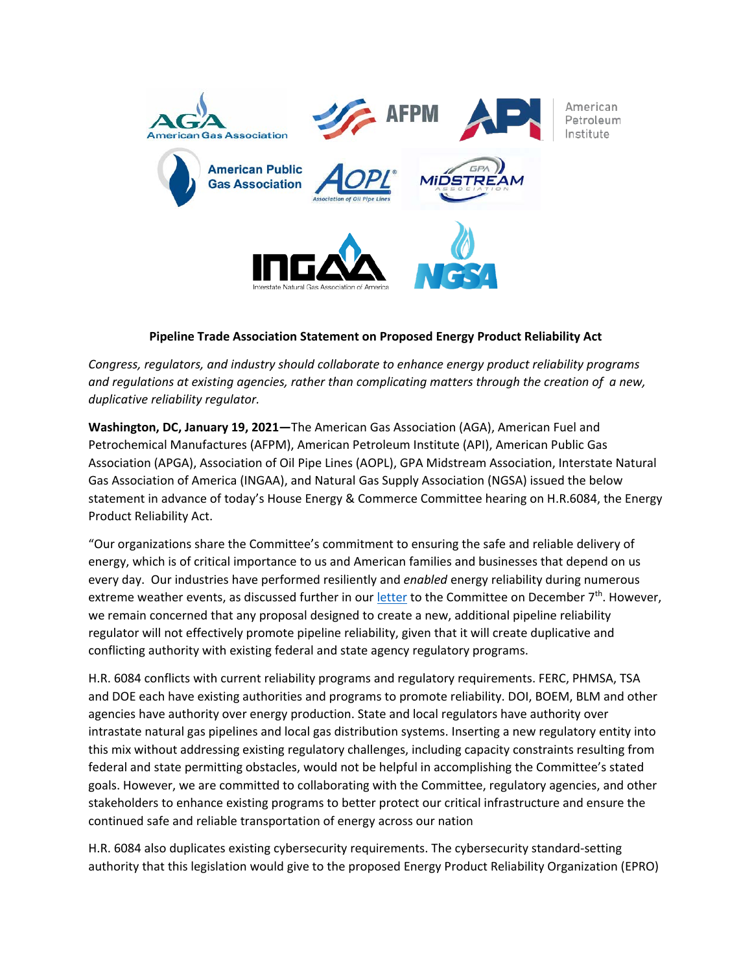

## **Pipeline Trade Association Statement on Proposed Energy Product Reliability Act**

*Congress, regulators, and industry should collaborate to enhance energy product reliability programs and regulations at existing agencies, rather than complicating matters through the creation of a new, duplicative reliability regulator.*

**Washington, DC, January 19, 2021—**The American Gas Association (AGA), American Fuel and Petrochemical Manufactures (AFPM), American Petroleum Institute (API), American Public Gas Association (APGA), Association of Oil Pipe Lines (AOPL), GPA Midstream Association, Interstate Natural Gas Association of America (INGAA), and Natural Gas Supply Association (NGSA) issued the below statement in advance of today's House Energy & Commerce Committee hearing on H.R.6084, the Energy Product Reliability Act.

"Our organizations share the Committee's commitment to ensuring the safe and reliable delivery of energy, which is of critical importance to us and American families and businesses that depend on us every day. Our industries have performed resiliently and *enabled* energy reliability during numerous extreme weather events, as discussed further in our [letter](https://www.ingaa.org/File.aspx?id=39147) to the Committee on December  $7<sup>th</sup>$ . However, we remain concerned that any proposal designed to create a new, additional pipeline reliability regulator will not effectively promote pipeline reliability, given that it will create duplicative and conflicting authority with existing federal and state agency regulatory programs.

H.R. 6084 conflicts with current reliability programs and regulatory requirements. FERC, PHMSA, TSA and DOE each have existing authorities and programs to promote reliability. DOI, BOEM, BLM and other agencies have authority over energy production. State and local regulators have authority over intrastate natural gas pipelines and local gas distribution systems. Inserting a new regulatory entity into this mix without addressing existing regulatory challenges, including capacity constraints resulting from federal and state permitting obstacles, would not be helpful in accomplishing the Committee's stated goals. However, we are committed to collaborating with the Committee, regulatory agencies, and other stakeholders to enhance existing programs to better protect our critical infrastructure and ensure the continued safe and reliable transportation of energy across our nation

H.R. 6084 also duplicates existing cybersecurity requirements. The cybersecurity standard-setting authority that this legislation would give to the proposed Energy Product Reliability Organization (EPRO)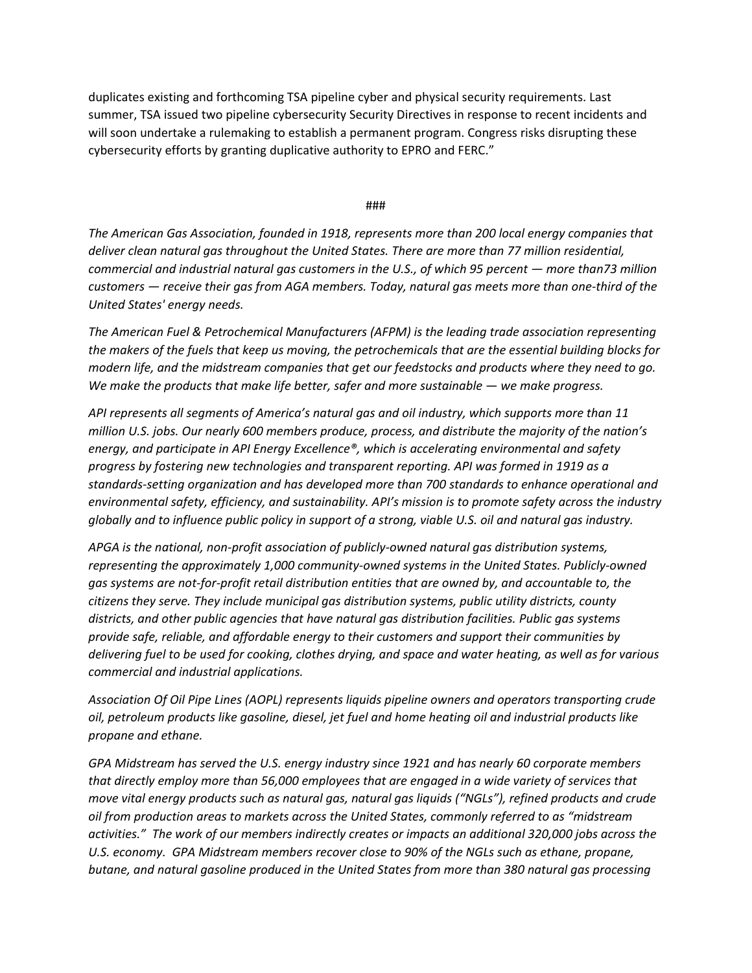duplicates existing and forthcoming TSA pipeline cyber and physical security requirements. Last summer, TSA issued two pipeline cybersecurity Security Directives in response to recent incidents and will soon undertake a rulemaking to establish a permanent program. Congress risks disrupting these cybersecurity efforts by granting duplicative authority to EPRO and FERC."

###

*The American Gas Association, founded in 1918, represents more than 200 local energy companies that deliver clean natural gas throughout the United States. There are more than 77 million residential, commercial and industrial natural gas customers in the U.S., of which 95 percent — more than73 million customers — receive their gas from AGA members. Today, natural gas meets more than one-third of the United States' energy needs.* 

*The American Fuel & Petrochemical Manufacturers (AFPM) is the leading trade association representing the makers of the fuels that keep us moving, the petrochemicals that are the essential building blocks for modern life, and the midstream companies that get our feedstocks and products where they need to go. We make the products that make life better, safer and more sustainable — we make progress.*

*API represents all segments of America's natural gas and oil industry, which supports more than 11 million U.S. jobs. Our nearly 600 members produce, process, and distribute the majority of the nation's energy, and participate in API Energy Excellence®, which is accelerating environmental and safety progress by fostering new technologies and transparent reporting. API was formed in 1919 as a standards-setting organization and has developed more than 700 standards to enhance operational and environmental safety, efficiency, and sustainability. API's mission is to promote safety across the industry globally and to influence public policy in support of a strong, viable U.S. oil and natural gas industry.*

*APGA is the national, non-profit association of publicly-owned natural gas distribution systems, representing the approximately 1,000 community-owned systems in the United States. Publicly-owned gas systems are not-for-profit retail distribution entities that are owned by, and accountable to, the citizens they serve. They include municipal gas distribution systems, public utility districts, county districts, and other public agencies that have natural gas distribution facilities. Public gas systems provide safe, reliable, and affordable energy to their customers and support their communities by delivering fuel to be used for cooking, clothes drying, and space and water heating, as well as for various commercial and industrial applications.*

*Association Of Oil Pipe Lines (AOPL) represents liquids pipeline owners and operators transporting crude oil, petroleum products like gasoline, diesel, jet fuel and home heating oil and industrial products like propane and ethane.*

*GPA Midstream has served the U.S. energy industry since 1921 and has nearly 60 corporate members that directly employ more than 56,000 employees that are engaged in a wide variety of services that move vital energy products such as natural gas, natural gas liquids ("NGLs"), refined products and crude oil from production areas to markets across the United States, commonly referred to as "midstream activities." The work of our members indirectly creates or impacts an additional 320,000 jobs across the U.S. economy. GPA Midstream members recover close to 90% of the NGLs such as ethane, propane, butane, and natural gasoline produced in the United States from more than 380 natural gas processing*